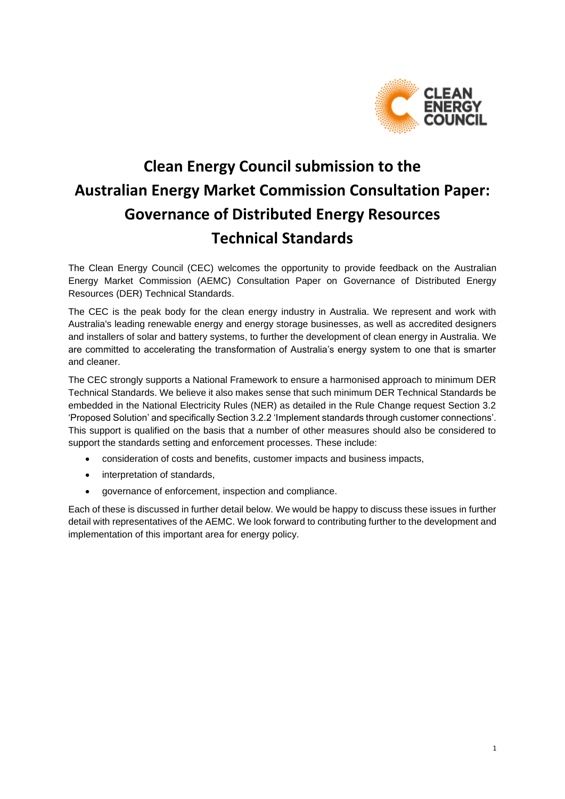

# **Clean Energy Council submission to the Australian Energy Market Commission Consultation Paper: Governance of Distributed Energy Resources Technical Standards**

The Clean Energy Council (CEC) welcomes the opportunity to provide feedback on the Australian Energy Market Commission (AEMC) Consultation Paper on Governance of Distributed Energy Resources (DER) Technical Standards.

The CEC is the peak body for the clean energy industry in Australia. We represent and work with Australia's leading renewable energy and energy storage businesses, as well as accredited designers and installers of solar and battery systems, to further the development of clean energy in Australia. We are committed to accelerating the transformation of Australia's energy system to one that is smarter and cleaner.

The CEC strongly supports a National Framework to ensure a harmonised approach to minimum DER Technical Standards. We believe it also makes sense that such minimum DER Technical Standards be embedded in the National Electricity Rules (NER) as detailed in the Rule Change request Section 3.2 'Proposed Solution' and specifically Section 3.2.2 'Implement standards through customer connections'. This support is qualified on the basis that a number of other measures should also be considered to support the standards setting and enforcement processes. These include:

- consideration of costs and benefits, customer impacts and business impacts,
- interpretation of standards,
- governance of enforcement, inspection and compliance.

Each of these is discussed in further detail below. We would be happy to discuss these issues in further detail with representatives of the AEMC. We look forward to contributing further to the development and implementation of this important area for energy policy.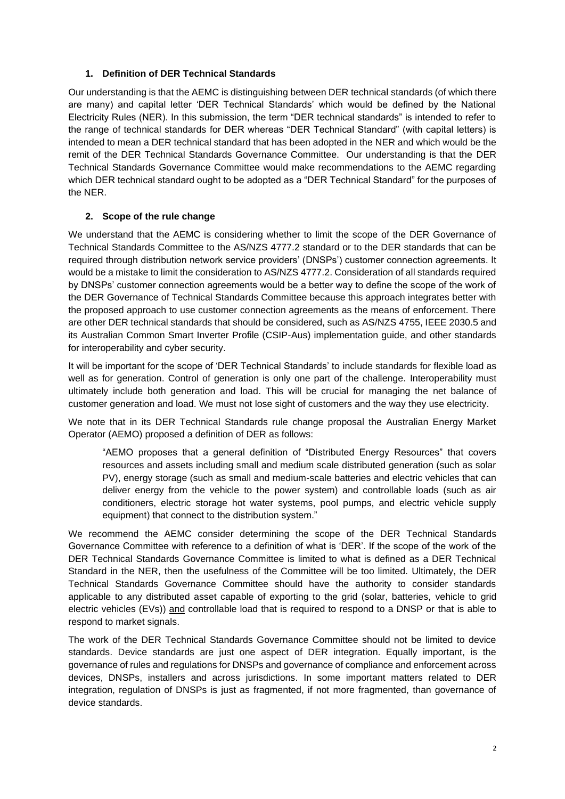## **1. Definition of DER Technical Standards**

Our understanding is that the AEMC is distinguishing between DER technical standards (of which there are many) and capital letter 'DER Technical Standards' which would be defined by the National Electricity Rules (NER). In this submission, the term "DER technical standards" is intended to refer to the range of technical standards for DER whereas "DER Technical Standard" (with capital letters) is intended to mean a DER technical standard that has been adopted in the NER and which would be the remit of the DER Technical Standards Governance Committee. Our understanding is that the DER Technical Standards Governance Committee would make recommendations to the AEMC regarding which DER technical standard ought to be adopted as a "DER Technical Standard" for the purposes of the NER.

## **2. Scope of the rule change**

We understand that the AEMC is considering whether to limit the scope of the DER Governance of Technical Standards Committee to the AS/NZS 4777.2 standard or to the DER standards that can be required through distribution network service providers' (DNSPs') customer connection agreements. It would be a mistake to limit the consideration to AS/NZS 4777.2. Consideration of all standards required by DNSPs' customer connection agreements would be a better way to define the scope of the work of the DER Governance of Technical Standards Committee because this approach integrates better with the proposed approach to use customer connection agreements as the means of enforcement. There are other DER technical standards that should be considered, such as AS/NZS 4755, IEEE 2030.5 and its Australian Common Smart Inverter Profile (CSIP-Aus) implementation guide, and other standards for interoperability and cyber security.

It will be important for the scope of 'DER Technical Standards' to include standards for flexible load as well as for generation. Control of generation is only one part of the challenge. Interoperability must ultimately include both generation and load. This will be crucial for managing the net balance of customer generation and load. We must not lose sight of customers and the way they use electricity.

We note that in its DER Technical Standards rule change proposal the Australian Energy Market Operator (AEMO) proposed a definition of DER as follows:

"AEMO proposes that a general definition of "Distributed Energy Resources" that covers resources and assets including small and medium scale distributed generation (such as solar PV), energy storage (such as small and medium-scale batteries and electric vehicles that can deliver energy from the vehicle to the power system) and controllable loads (such as air conditioners, electric storage hot water systems, pool pumps, and electric vehicle supply equipment) that connect to the distribution system."

We recommend the AEMC consider determining the scope of the DER Technical Standards Governance Committee with reference to a definition of what is 'DER'. If the scope of the work of the DER Technical Standards Governance Committee is limited to what is defined as a DER Technical Standard in the NER, then the usefulness of the Committee will be too limited. Ultimately, the DER Technical Standards Governance Committee should have the authority to consider standards applicable to any distributed asset capable of exporting to the grid (solar, batteries, vehicle to grid electric vehicles (EVs)) and controllable load that is required to respond to a DNSP or that is able to respond to market signals.

The work of the DER Technical Standards Governance Committee should not be limited to device standards. Device standards are just one aspect of DER integration. Equally important, is the governance of rules and regulations for DNSPs and governance of compliance and enforcement across devices, DNSPs, installers and across jurisdictions. In some important matters related to DER integration, regulation of DNSPs is just as fragmented, if not more fragmented, than governance of device standards.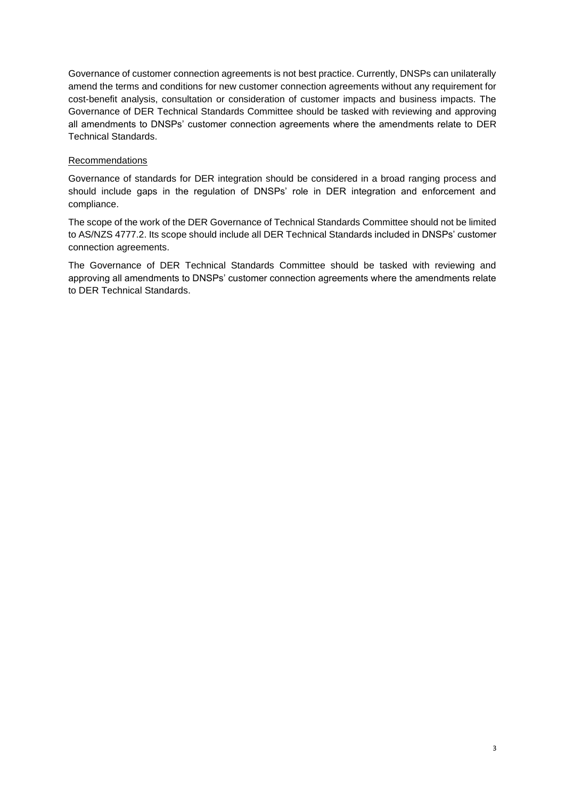Governance of customer connection agreements is not best practice. Currently, DNSPs can unilaterally amend the terms and conditions for new customer connection agreements without any requirement for cost-benefit analysis, consultation or consideration of customer impacts and business impacts. The Governance of DER Technical Standards Committee should be tasked with reviewing and approving all amendments to DNSPs' customer connection agreements where the amendments relate to DER Technical Standards.

## Recommendations

Governance of standards for DER integration should be considered in a broad ranging process and should include gaps in the regulation of DNSPs' role in DER integration and enforcement and compliance.

The scope of the work of the DER Governance of Technical Standards Committee should not be limited to AS/NZS 4777.2. Its scope should include all DER Technical Standards included in DNSPs' customer connection agreements.

The Governance of DER Technical Standards Committee should be tasked with reviewing and approving all amendments to DNSPs' customer connection agreements where the amendments relate to DER Technical Standards.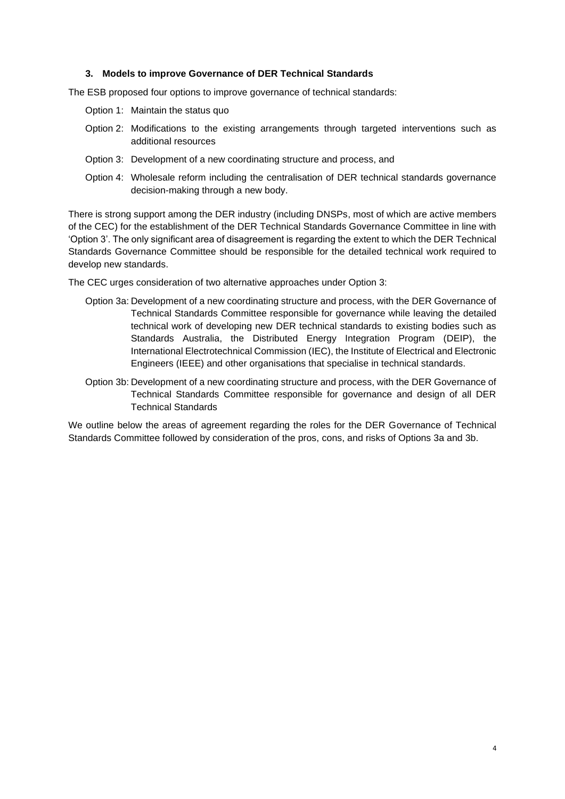#### **3. Models to improve Governance of DER Technical Standards**

The ESB proposed four options to improve governance of technical standards:

- Option 1: Maintain the status quo
- Option 2: Modifications to the existing arrangements through targeted interventions such as additional resources
- Option 3: Development of a new coordinating structure and process, and
- Option 4: Wholesale reform including the centralisation of DER technical standards governance decision-making through a new body.

There is strong support among the DER industry (including DNSPs, most of which are active members of the CEC) for the establishment of the DER Technical Standards Governance Committee in line with 'Option 3'. The only significant area of disagreement is regarding the extent to which the DER Technical Standards Governance Committee should be responsible for the detailed technical work required to develop new standards.

The CEC urges consideration of two alternative approaches under Option 3:

- Option 3a: Development of a new coordinating structure and process, with the DER Governance of Technical Standards Committee responsible for governance while leaving the detailed technical work of developing new DER technical standards to existing bodies such as Standards Australia, the Distributed Energy Integration Program (DEIP), the International Electrotechnical Commission (IEC), the Institute of Electrical and Electronic Engineers (IEEE) and other organisations that specialise in technical standards.
- Option 3b: Development of a new coordinating structure and process, with the DER Governance of Technical Standards Committee responsible for governance and design of all DER Technical Standards

We outline below the areas of agreement regarding the roles for the DER Governance of Technical Standards Committee followed by consideration of the pros, cons, and risks of Options 3a and 3b.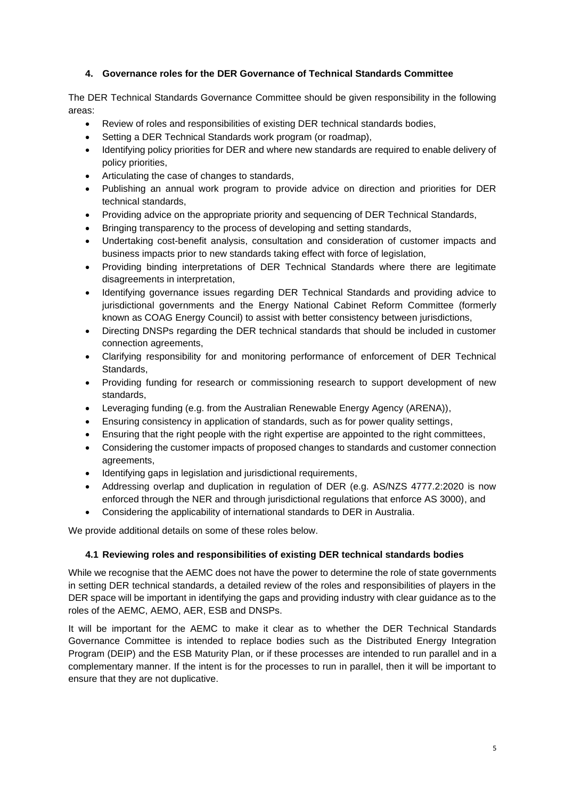## **4. Governance roles for the DER Governance of Technical Standards Committee**

The DER Technical Standards Governance Committee should be given responsibility in the following areas:

- Review of roles and responsibilities of existing DER technical standards bodies,
- Setting a DER Technical Standards work program (or roadmap),
- Identifying policy priorities for DER and where new standards are required to enable delivery of policy priorities,
- Articulating the case of changes to standards,
- Publishing an annual work program to provide advice on direction and priorities for DER technical standards,
- Providing advice on the appropriate priority and sequencing of DER Technical Standards,
- Bringing transparency to the process of developing and setting standards,
- Undertaking cost-benefit analysis, consultation and consideration of customer impacts and business impacts prior to new standards taking effect with force of legislation,
- Providing binding interpretations of DER Technical Standards where there are legitimate disagreements in interpretation,
- Identifying governance issues regarding DER Technical Standards and providing advice to jurisdictional governments and the Energy National Cabinet Reform Committee (formerly known as COAG Energy Council) to assist with better consistency between jurisdictions,
- Directing DNSPs regarding the DER technical standards that should be included in customer connection agreements,
- Clarifying responsibility for and monitoring performance of enforcement of DER Technical Standards,
- Providing funding for research or commissioning research to support development of new standards,
- Leveraging funding (e.g. from the Australian Renewable Energy Agency (ARENA)),
- Ensuring consistency in application of standards, such as for power quality settings,
- Ensuring that the right people with the right expertise are appointed to the right committees,
- Considering the customer impacts of proposed changes to standards and customer connection agreements,
- Identifying gaps in legislation and jurisdictional requirements,
- Addressing overlap and duplication in regulation of DER (e.g. AS/NZS 4777.2:2020 is now enforced through the NER and through jurisdictional regulations that enforce AS 3000), and
- Considering the applicability of international standards to DER in Australia.

We provide additional details on some of these roles below.

#### **4.1 Reviewing roles and responsibilities of existing DER technical standards bodies**

While we recognise that the AEMC does not have the power to determine the role of state governments in setting DER technical standards, a detailed review of the roles and responsibilities of players in the DER space will be important in identifying the gaps and providing industry with clear guidance as to the roles of the AEMC, AEMO, AER, ESB and DNSPs.

It will be important for the AEMC to make it clear as to whether the DER Technical Standards Governance Committee is intended to replace bodies such as the Distributed Energy Integration Program (DEIP) and the ESB Maturity Plan, or if these processes are intended to run parallel and in a complementary manner. If the intent is for the processes to run in parallel, then it will be important to ensure that they are not duplicative.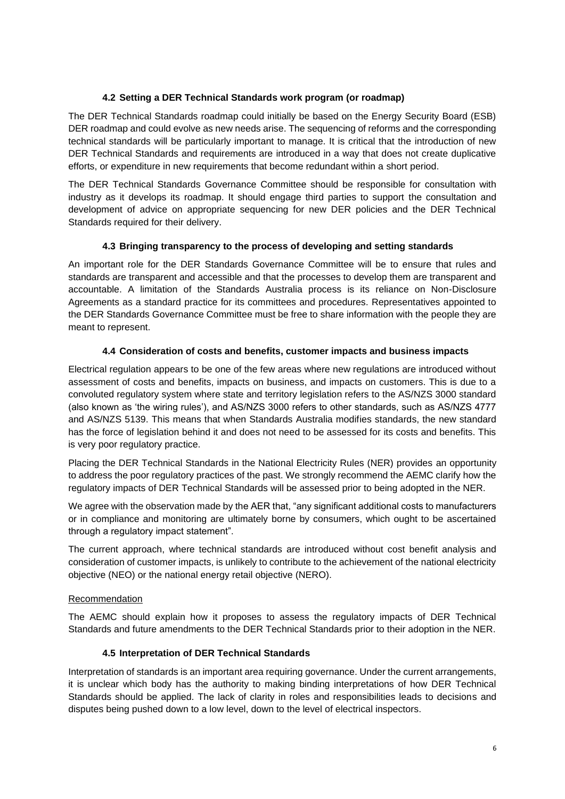# **4.2 Setting a DER Technical Standards work program (or roadmap)**

The DER Technical Standards roadmap could initially be based on the Energy Security Board (ESB) DER roadmap and could evolve as new needs arise. The sequencing of reforms and the corresponding technical standards will be particularly important to manage. It is critical that the introduction of new DER Technical Standards and requirements are introduced in a way that does not create duplicative efforts, or expenditure in new requirements that become redundant within a short period.

The DER Technical Standards Governance Committee should be responsible for consultation with industry as it develops its roadmap. It should engage third parties to support the consultation and development of advice on appropriate sequencing for new DER policies and the DER Technical Standards required for their delivery.

## **4.3 Bringing transparency to the process of developing and setting standards**

An important role for the DER Standards Governance Committee will be to ensure that rules and standards are transparent and accessible and that the processes to develop them are transparent and accountable. A limitation of the Standards Australia process is its reliance on Non-Disclosure Agreements as a standard practice for its committees and procedures. Representatives appointed to the DER Standards Governance Committee must be free to share information with the people they are meant to represent.

## **4.4 Consideration of costs and benefits, customer impacts and business impacts**

Electrical regulation appears to be one of the few areas where new regulations are introduced without assessment of costs and benefits, impacts on business, and impacts on customers. This is due to a convoluted regulatory system where state and territory legislation refers to the AS/NZS 3000 standard (also known as 'the wiring rules'), and AS/NZS 3000 refers to other standards, such as AS/NZS 4777 and AS/NZS 5139. This means that when Standards Australia modifies standards, the new standard has the force of legislation behind it and does not need to be assessed for its costs and benefits. This is very poor regulatory practice.

Placing the DER Technical Standards in the National Electricity Rules (NER) provides an opportunity to address the poor regulatory practices of the past. We strongly recommend the AEMC clarify how the regulatory impacts of DER Technical Standards will be assessed prior to being adopted in the NER.

We agree with the observation made by the AER that, "any significant additional costs to manufacturers or in compliance and monitoring are ultimately borne by consumers, which ought to be ascertained through a regulatory impact statement".

The current approach, where technical standards are introduced without cost benefit analysis and consideration of customer impacts, is unlikely to contribute to the achievement of the national electricity objective (NEO) or the national energy retail objective (NERO).

#### Recommendation

The AEMC should explain how it proposes to assess the regulatory impacts of DER Technical Standards and future amendments to the DER Technical Standards prior to their adoption in the NER.

# **4.5 Interpretation of DER Technical Standards**

Interpretation of standards is an important area requiring governance. Under the current arrangements, it is unclear which body has the authority to making binding interpretations of how DER Technical Standards should be applied. The lack of clarity in roles and responsibilities leads to decisions and disputes being pushed down to a low level, down to the level of electrical inspectors.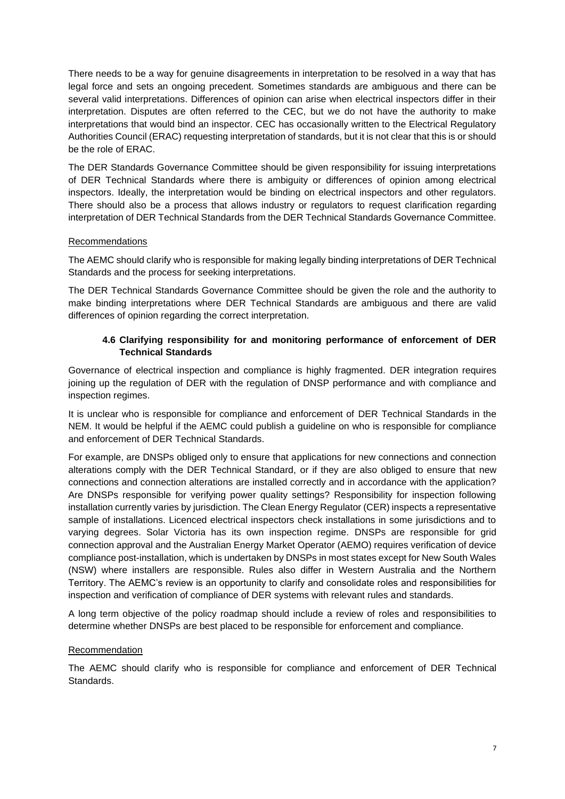There needs to be a way for genuine disagreements in interpretation to be resolved in a way that has legal force and sets an ongoing precedent. Sometimes standards are ambiguous and there can be several valid interpretations. Differences of opinion can arise when electrical inspectors differ in their interpretation. Disputes are often referred to the CEC, but we do not have the authority to make interpretations that would bind an inspector. CEC has occasionally written to the Electrical Regulatory Authorities Council (ERAC) requesting interpretation of standards, but it is not clear that this is or should be the role of ERAC.

The DER Standards Governance Committee should be given responsibility for issuing interpretations of DER Technical Standards where there is ambiguity or differences of opinion among electrical inspectors. Ideally, the interpretation would be binding on electrical inspectors and other regulators. There should also be a process that allows industry or regulators to request clarification regarding interpretation of DER Technical Standards from the DER Technical Standards Governance Committee.

#### Recommendations

The AEMC should clarify who is responsible for making legally binding interpretations of DER Technical Standards and the process for seeking interpretations.

The DER Technical Standards Governance Committee should be given the role and the authority to make binding interpretations where DER Technical Standards are ambiguous and there are valid differences of opinion regarding the correct interpretation.

# **4.6 Clarifying responsibility for and monitoring performance of enforcement of DER Technical Standards**

Governance of electrical inspection and compliance is highly fragmented. DER integration requires joining up the regulation of DER with the regulation of DNSP performance and with compliance and inspection regimes.

It is unclear who is responsible for compliance and enforcement of DER Technical Standards in the NEM. It would be helpful if the AEMC could publish a guideline on who is responsible for compliance and enforcement of DER Technical Standards.

For example, are DNSPs obliged only to ensure that applications for new connections and connection alterations comply with the DER Technical Standard, or if they are also obliged to ensure that new connections and connection alterations are installed correctly and in accordance with the application? Are DNSPs responsible for verifying power quality settings? Responsibility for inspection following installation currently varies by jurisdiction. The Clean Energy Regulator (CER) inspects a representative sample of installations. Licenced electrical inspectors check installations in some jurisdictions and to varying degrees. Solar Victoria has its own inspection regime. DNSPs are responsible for grid connection approval and the Australian Energy Market Operator (AEMO) requires verification of device compliance post-installation, which is undertaken by DNSPs in most states except for New South Wales (NSW) where installers are responsible. Rules also differ in Western Australia and the Northern Territory. The AEMC's review is an opportunity to clarify and consolidate roles and responsibilities for inspection and verification of compliance of DER systems with relevant rules and standards.

A long term objective of the policy roadmap should include a review of roles and responsibilities to determine whether DNSPs are best placed to be responsible for enforcement and compliance.

#### Recommendation

The AEMC should clarify who is responsible for compliance and enforcement of DER Technical Standards.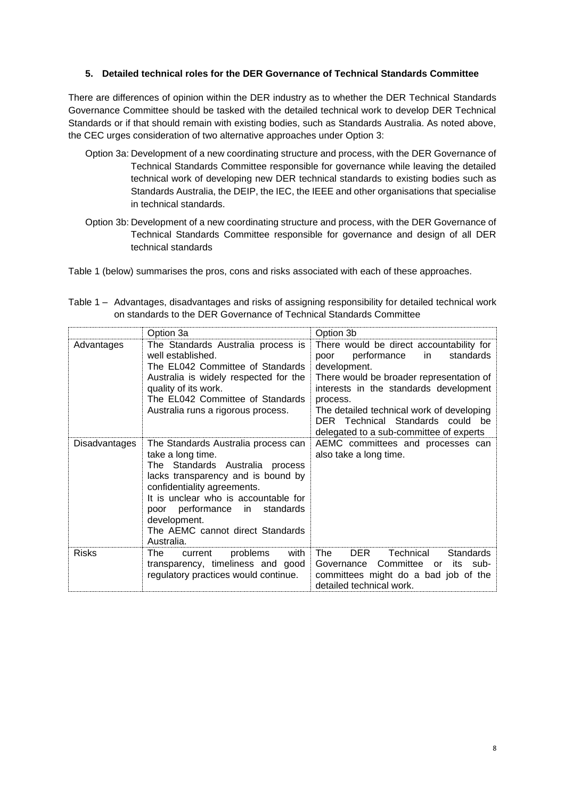## **5. Detailed technical roles for the DER Governance of Technical Standards Committee**

There are differences of opinion within the DER industry as to whether the DER Technical Standards Governance Committee should be tasked with the detailed technical work to develop DER Technical Standards or if that should remain with existing bodies, such as Standards Australia. As noted above, the CEC urges consideration of two alternative approaches under Option 3:

- Option 3a: Development of a new coordinating structure and process, with the DER Governance of Technical Standards Committee responsible for governance while leaving the detailed technical work of developing new DER technical standards to existing bodies such as Standards Australia, the DEIP, the IEC, the IEEE and other organisations that specialise in technical standards.
- Option 3b: Development of a new coordinating structure and process, with the DER Governance of Technical Standards Committee responsible for governance and design of all DER technical standards
- Table 1 (below) summarises the pros, cons and risks associated with each of these approaches.

Table 1 – Advantages, disadvantages and risks of assigning responsibility for detailed technical work on standards to the DER Governance of Technical Standards Committee

|                      | Option 3a                                                                                                                                                                                                                                                                                                      | Option 3b                                                                                                                                                                                                                                                                                                                             |
|----------------------|----------------------------------------------------------------------------------------------------------------------------------------------------------------------------------------------------------------------------------------------------------------------------------------------------------------|---------------------------------------------------------------------------------------------------------------------------------------------------------------------------------------------------------------------------------------------------------------------------------------------------------------------------------------|
| Advantages           | The Standards Australia process is<br>well established.<br>The EL042 Committee of Standards<br>Australia is widely respected for the<br>quality of its work.<br>The EL042 Committee of Standards<br>Australia runs a rigorous process.                                                                         | There would be direct accountability for<br>performance<br>in.<br>standards<br>poor<br>development.<br>There would be broader representation of<br>interests in the standards development<br>process.<br>The detailed technical work of developing<br>DER Technical Standards could<br>he.<br>delegated to a sub-committee of experts |
| <b>Disadvantages</b> | The Standards Australia process can<br>take a long time.<br>The Standards Australia process<br>lacks transparency and is bound by<br>confidentiality agreements.<br>It is unclear who is accountable for<br>performance in standards<br>poor<br>development.<br>The AEMC cannot direct Standards<br>Australia. | AEMC committees and processes can<br>also take a long time.                                                                                                                                                                                                                                                                           |
| <b>Risks</b>         | problems<br>with<br>The<br>current<br>transparency, timeliness and good<br>regulatory practices would continue.                                                                                                                                                                                                | <b>DER</b><br>The<br>Technical<br><b>Standards</b><br>Committee<br>sub-<br>Governance<br>its<br>or<br>committees might do a bad job of the<br>detailed technical work.                                                                                                                                                                |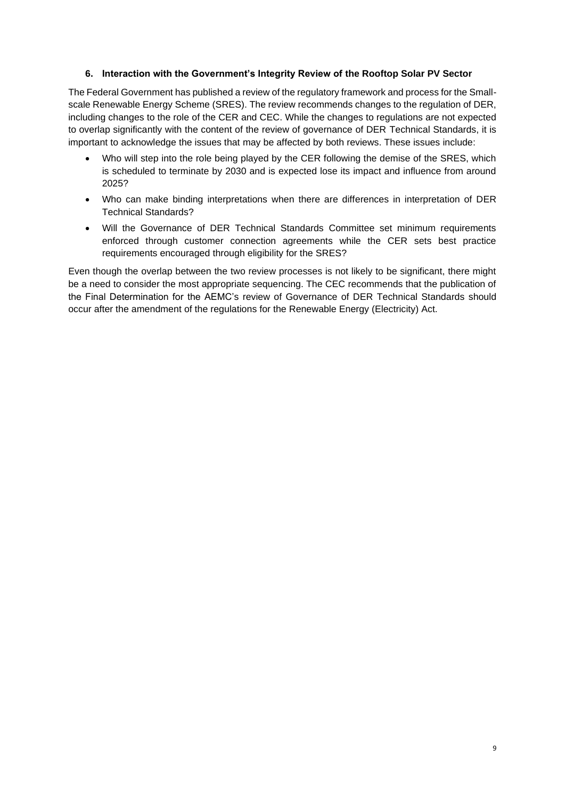## **6. Interaction with the Government's Integrity Review of the Rooftop Solar PV Sector**

The Federal Government has published a review of the regulatory framework and process for the Smallscale Renewable Energy Scheme (SRES). The review recommends changes to the regulation of DER, including changes to the role of the CER and CEC. While the changes to regulations are not expected to overlap significantly with the content of the review of governance of DER Technical Standards, it is important to acknowledge the issues that may be affected by both reviews. These issues include:

- Who will step into the role being played by the CER following the demise of the SRES, which is scheduled to terminate by 2030 and is expected lose its impact and influence from around 2025?
- Who can make binding interpretations when there are differences in interpretation of DER Technical Standards?
- Will the Governance of DER Technical Standards Committee set minimum requirements enforced through customer connection agreements while the CER sets best practice requirements encouraged through eligibility for the SRES?

Even though the overlap between the two review processes is not likely to be significant, there might be a need to consider the most appropriate sequencing. The CEC recommends that the publication of the Final Determination for the AEMC's review of Governance of DER Technical Standards should occur after the amendment of the regulations for the Renewable Energy (Electricity) Act.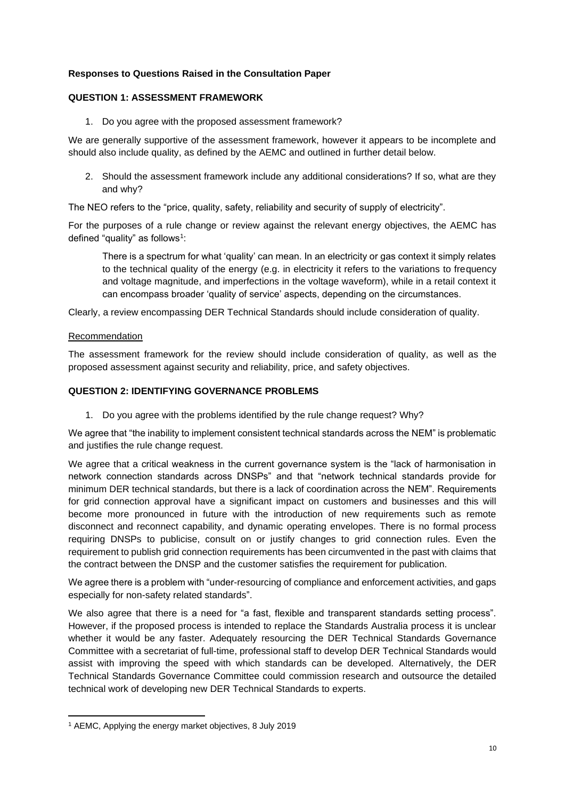## **Responses to Questions Raised in the Consultation Paper**

## **QUESTION 1: ASSESSMENT FRAMEWORK**

1. Do you agree with the proposed assessment framework?

We are generally supportive of the assessment framework, however it appears to be incomplete and should also include quality, as defined by the AEMC and outlined in further detail below.

2. Should the assessment framework include any additional considerations? If so, what are they and why?

The NEO refers to the "price, quality, safety, reliability and security of supply of electricity".

For the purposes of a rule change or review against the relevant energy objectives, the AEMC has defined "quality" as follows<sup>1</sup>:

There is a spectrum for what 'quality' can mean. In an electricity or gas context it simply relates to the technical quality of the energy (e.g. in electricity it refers to the variations to frequency and voltage magnitude, and imperfections in the voltage waveform), while in a retail context it can encompass broader 'quality of service' aspects, depending on the circumstances.

Clearly, a review encompassing DER Technical Standards should include consideration of quality.

#### Recommendation

The assessment framework for the review should include consideration of quality, as well as the proposed assessment against security and reliability, price, and safety objectives.

# **QUESTION 2: IDENTIFYING GOVERNANCE PROBLEMS**

1. Do you agree with the problems identified by the rule change request? Why?

We agree that "the inability to implement consistent technical standards across the NEM" is problematic and justifies the rule change request.

We agree that a critical weakness in the current governance system is the "lack of harmonisation in network connection standards across DNSPs" and that "network technical standards provide for minimum DER technical standards, but there is a lack of coordination across the NEM". Requirements for grid connection approval have a significant impact on customers and businesses and this will become more pronounced in future with the introduction of new requirements such as remote disconnect and reconnect capability, and dynamic operating envelopes. There is no formal process requiring DNSPs to publicise, consult on or justify changes to grid connection rules. Even the requirement to publish grid connection requirements has been circumvented in the past with claims that the contract between the DNSP and the customer satisfies the requirement for publication.

We agree there is a problem with "under-resourcing of compliance and enforcement activities, and gaps especially for non-safety related standards".

We also agree that there is a need for "a fast, flexible and transparent standards setting process". However, if the proposed process is intended to replace the Standards Australia process it is unclear whether it would be any faster. Adequately resourcing the DER Technical Standards Governance Committee with a secretariat of full-time, professional staff to develop DER Technical Standards would assist with improving the speed with which standards can be developed. Alternatively, the DER Technical Standards Governance Committee could commission research and outsource the detailed technical work of developing new DER Technical Standards to experts.

<sup>1</sup> AEMC, Applying the energy market objectives, 8 July 2019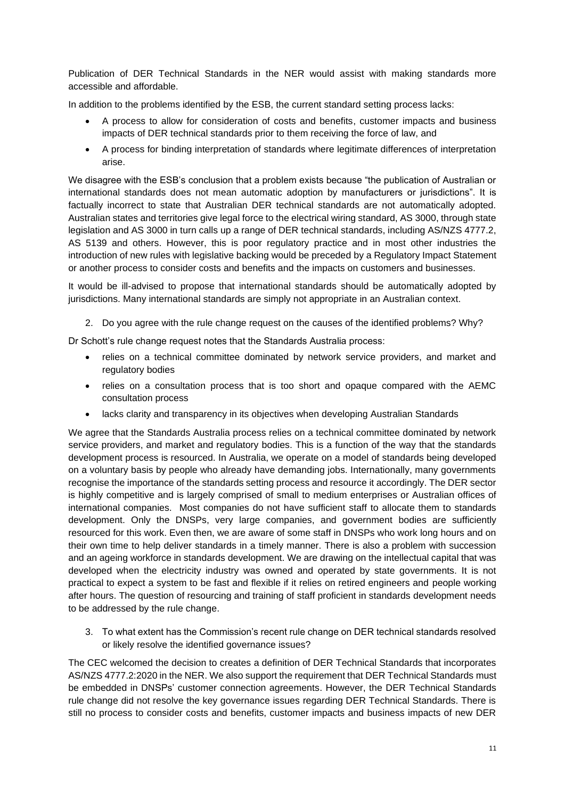Publication of DER Technical Standards in the NER would assist with making standards more accessible and affordable.

In addition to the problems identified by the ESB, the current standard setting process lacks:

- A process to allow for consideration of costs and benefits, customer impacts and business impacts of DER technical standards prior to them receiving the force of law, and
- A process for binding interpretation of standards where legitimate differences of interpretation arise.

We disagree with the ESB's conclusion that a problem exists because "the publication of Australian or international standards does not mean automatic adoption by manufacturers or jurisdictions". It is factually incorrect to state that Australian DER technical standards are not automatically adopted. Australian states and territories give legal force to the electrical wiring standard, AS 3000, through state legislation and AS 3000 in turn calls up a range of DER technical standards, including AS/NZS 4777.2, AS 5139 and others. However, this is poor regulatory practice and in most other industries the introduction of new rules with legislative backing would be preceded by a Regulatory Impact Statement or another process to consider costs and benefits and the impacts on customers and businesses.

It would be ill-advised to propose that international standards should be automatically adopted by jurisdictions. Many international standards are simply not appropriate in an Australian context.

2. Do you agree with the rule change request on the causes of the identified problems? Why?

Dr Schott's rule change request notes that the Standards Australia process:

- relies on a technical committee dominated by network service providers, and market and regulatory bodies
- relies on a consultation process that is too short and opaque compared with the AEMC consultation process
- lacks clarity and transparency in its objectives when developing Australian Standards

We agree that the Standards Australia process relies on a technical committee dominated by network service providers, and market and regulatory bodies. This is a function of the way that the standards development process is resourced. In Australia, we operate on a model of standards being developed on a voluntary basis by people who already have demanding jobs. Internationally, many governments recognise the importance of the standards setting process and resource it accordingly. The DER sector is highly competitive and is largely comprised of small to medium enterprises or Australian offices of international companies. Most companies do not have sufficient staff to allocate them to standards development. Only the DNSPs, very large companies, and government bodies are sufficiently resourced for this work. Even then, we are aware of some staff in DNSPs who work long hours and on their own time to help deliver standards in a timely manner. There is also a problem with succession and an ageing workforce in standards development. We are drawing on the intellectual capital that was developed when the electricity industry was owned and operated by state governments. It is not practical to expect a system to be fast and flexible if it relies on retired engineers and people working after hours. The question of resourcing and training of staff proficient in standards development needs to be addressed by the rule change.

3. To what extent has the Commission's recent rule change on DER technical standards resolved or likely resolve the identified governance issues?

The CEC welcomed the decision to creates a definition of DER Technical Standards that incorporates AS/NZS 4777.2:2020 in the NER. We also support the requirement that DER Technical Standards must be embedded in DNSPs' customer connection agreements. However, the DER Technical Standards rule change did not resolve the key governance issues regarding DER Technical Standards. There is still no process to consider costs and benefits, customer impacts and business impacts of new DER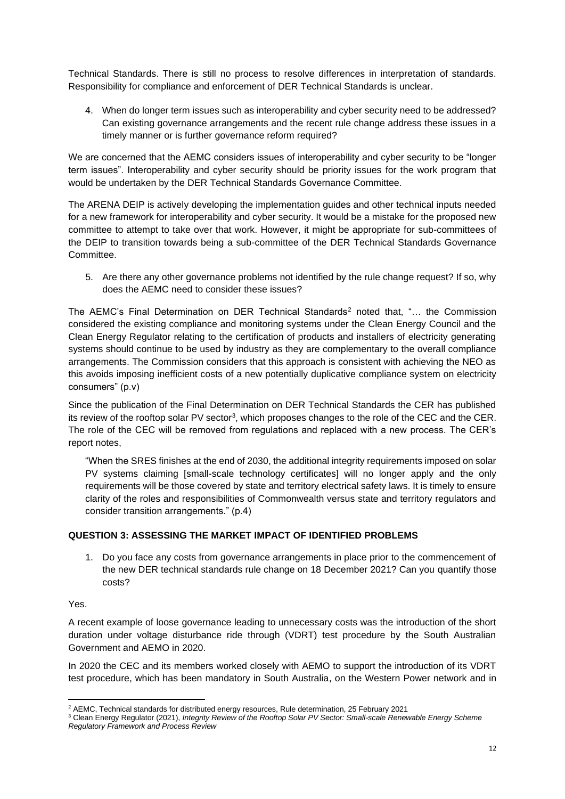Technical Standards. There is still no process to resolve differences in interpretation of standards. Responsibility for compliance and enforcement of DER Technical Standards is unclear.

4. When do longer term issues such as interoperability and cyber security need to be addressed? Can existing governance arrangements and the recent rule change address these issues in a timely manner or is further governance reform required?

We are concerned that the AEMC considers issues of interoperability and cyber security to be "longer term issues". Interoperability and cyber security should be priority issues for the work program that would be undertaken by the DER Technical Standards Governance Committee.

The ARENA DEIP is actively developing the implementation guides and other technical inputs needed for a new framework for interoperability and cyber security. It would be a mistake for the proposed new committee to attempt to take over that work. However, it might be appropriate for sub-committees of the DEIP to transition towards being a sub-committee of the DER Technical Standards Governance Committee.

5. Are there any other governance problems not identified by the rule change request? If so, why does the AEMC need to consider these issues?

The AEMC's Final Determination on DER Technical Standards<sup>2</sup> noted that, "… the Commission considered the existing compliance and monitoring systems under the Clean Energy Council and the Clean Energy Regulator relating to the certification of products and installers of electricity generating systems should continue to be used by industry as they are complementary to the overall compliance arrangements. The Commission considers that this approach is consistent with achieving the NEO as this avoids imposing inefficient costs of a new potentially duplicative compliance system on electricity consumers" (p.v)

Since the publication of the Final Determination on DER Technical Standards the CER has published its review of the rooftop solar PV sector<sup>3</sup>, which proposes changes to the role of the CEC and the CER. The role of the CEC will be removed from regulations and replaced with a new process. The CER's report notes,

"When the SRES finishes at the end of 2030, the additional integrity requirements imposed on solar PV systems claiming [small-scale technology certificates] will no longer apply and the only requirements will be those covered by state and territory electrical safety laws. It is timely to ensure clarity of the roles and responsibilities of Commonwealth versus state and territory regulators and consider transition arrangements." (p.4)

# **QUESTION 3: ASSESSING THE MARKET IMPACT OF IDENTIFIED PROBLEMS**

1. Do you face any costs from governance arrangements in place prior to the commencement of the new DER technical standards rule change on 18 December 2021? Can you quantify those costs?

Yes.

A recent example of loose governance leading to unnecessary costs was the introduction of the short duration under voltage disturbance ride through (VDRT) test procedure by the South Australian Government and AEMO in 2020.

In 2020 the CEC and its members worked closely with AEMO to support the introduction of its VDRT test procedure, which has been mandatory in South Australia, on the Western Power network and in

<sup>2</sup> AEMC, Technical standards for distributed energy resources, Rule determination, 25 February 2021

<sup>3</sup> Clean Energy Regulator (2021), *Integrity Review of the Rooftop Solar PV Sector: Small-scale Renewable Energy Scheme Regulatory Framework and Process Review*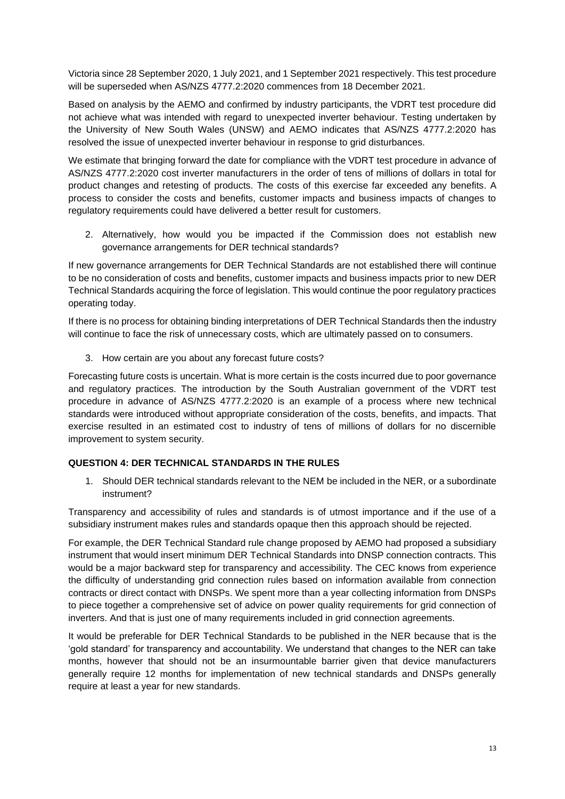Victoria since 28 September 2020, 1 July 2021, and 1 September 2021 respectively. This test procedure will be superseded when AS/NZS 4777.2:2020 commences from 18 December 2021.

Based on analysis by the AEMO and confirmed by industry participants, the VDRT test procedure did not achieve what was intended with regard to unexpected inverter behaviour. Testing undertaken by the University of New South Wales (UNSW) and AEMO indicates that AS/NZS 4777.2:2020 has resolved the issue of unexpected inverter behaviour in response to grid disturbances.

We estimate that bringing forward the date for compliance with the VDRT test procedure in advance of AS/NZS 4777.2:2020 cost inverter manufacturers in the order of tens of millions of dollars in total for product changes and retesting of products. The costs of this exercise far exceeded any benefits. A process to consider the costs and benefits, customer impacts and business impacts of changes to regulatory requirements could have delivered a better result for customers.

2. Alternatively, how would you be impacted if the Commission does not establish new governance arrangements for DER technical standards?

If new governance arrangements for DER Technical Standards are not established there will continue to be no consideration of costs and benefits, customer impacts and business impacts prior to new DER Technical Standards acquiring the force of legislation. This would continue the poor regulatory practices operating today.

If there is no process for obtaining binding interpretations of DER Technical Standards then the industry will continue to face the risk of unnecessary costs, which are ultimately passed on to consumers.

3. How certain are you about any forecast future costs?

Forecasting future costs is uncertain. What is more certain is the costs incurred due to poor governance and regulatory practices. The introduction by the South Australian government of the VDRT test procedure in advance of AS/NZS 4777.2:2020 is an example of a process where new technical standards were introduced without appropriate consideration of the costs, benefits, and impacts. That exercise resulted in an estimated cost to industry of tens of millions of dollars for no discernible improvement to system security.

#### **QUESTION 4: DER TECHNICAL STANDARDS IN THE RULES**

1. Should DER technical standards relevant to the NEM be included in the NER, or a subordinate instrument?

Transparency and accessibility of rules and standards is of utmost importance and if the use of a subsidiary instrument makes rules and standards opaque then this approach should be rejected.

For example, the DER Technical Standard rule change proposed by AEMO had proposed a subsidiary instrument that would insert minimum DER Technical Standards into DNSP connection contracts. This would be a major backward step for transparency and accessibility. The CEC knows from experience the difficulty of understanding grid connection rules based on information available from connection contracts or direct contact with DNSPs. We spent more than a year collecting information from DNSPs to piece together a comprehensive set of advice on power quality requirements for grid connection of inverters. And that is just one of many requirements included in grid connection agreements.

It would be preferable for DER Technical Standards to be published in the NER because that is the 'gold standard' for transparency and accountability. We understand that changes to the NER can take months, however that should not be an insurmountable barrier given that device manufacturers generally require 12 months for implementation of new technical standards and DNSPs generally require at least a year for new standards.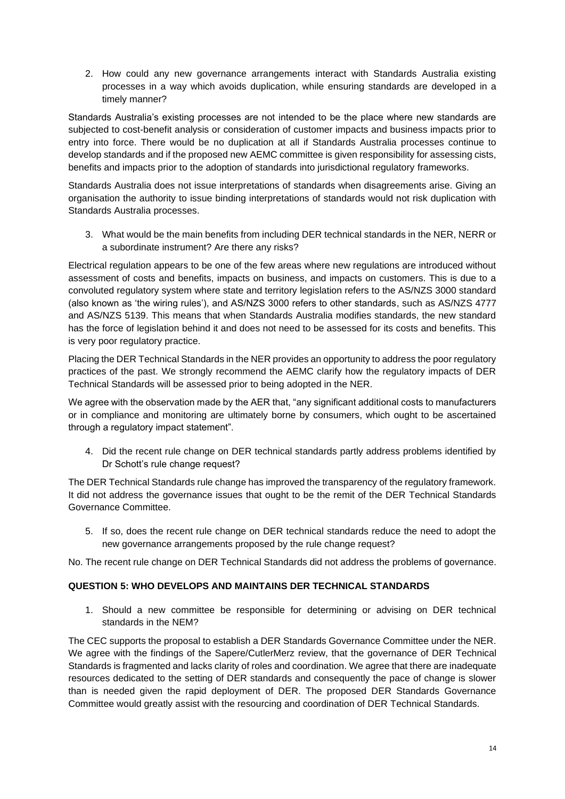2. How could any new governance arrangements interact with Standards Australia existing processes in a way which avoids duplication, while ensuring standards are developed in a timely manner?

Standards Australia's existing processes are not intended to be the place where new standards are subjected to cost-benefit analysis or consideration of customer impacts and business impacts prior to entry into force. There would be no duplication at all if Standards Australia processes continue to develop standards and if the proposed new AEMC committee is given responsibility for assessing cists, benefits and impacts prior to the adoption of standards into jurisdictional regulatory frameworks.

Standards Australia does not issue interpretations of standards when disagreements arise. Giving an organisation the authority to issue binding interpretations of standards would not risk duplication with Standards Australia processes.

3. What would be the main benefits from including DER technical standards in the NER, NERR or a subordinate instrument? Are there any risks?

Electrical regulation appears to be one of the few areas where new regulations are introduced without assessment of costs and benefits, impacts on business, and impacts on customers. This is due to a convoluted regulatory system where state and territory legislation refers to the AS/NZS 3000 standard (also known as 'the wiring rules'), and AS/NZS 3000 refers to other standards, such as AS/NZS 4777 and AS/NZS 5139. This means that when Standards Australia modifies standards, the new standard has the force of legislation behind it and does not need to be assessed for its costs and benefits. This is very poor regulatory practice.

Placing the DER Technical Standards in the NER provides an opportunity to address the poor regulatory practices of the past. We strongly recommend the AEMC clarify how the regulatory impacts of DER Technical Standards will be assessed prior to being adopted in the NER.

We agree with the observation made by the AER that, "any significant additional costs to manufacturers or in compliance and monitoring are ultimately borne by consumers, which ought to be ascertained through a regulatory impact statement".

4. Did the recent rule change on DER technical standards partly address problems identified by Dr Schott's rule change request?

The DER Technical Standards rule change has improved the transparency of the regulatory framework. It did not address the governance issues that ought to be the remit of the DER Technical Standards Governance Committee.

5. If so, does the recent rule change on DER technical standards reduce the need to adopt the new governance arrangements proposed by the rule change request?

No. The recent rule change on DER Technical Standards did not address the problems of governance.

#### **QUESTION 5: WHO DEVELOPS AND MAINTAINS DER TECHNICAL STANDARDS**

1. Should a new committee be responsible for determining or advising on DER technical standards in the NEM?

The CEC supports the proposal to establish a DER Standards Governance Committee under the NER. We agree with the findings of the Sapere/CutlerMerz review, that the governance of DER Technical Standards is fragmented and lacks clarity of roles and coordination. We agree that there are inadequate resources dedicated to the setting of DER standards and consequently the pace of change is slower than is needed given the rapid deployment of DER. The proposed DER Standards Governance Committee would greatly assist with the resourcing and coordination of DER Technical Standards.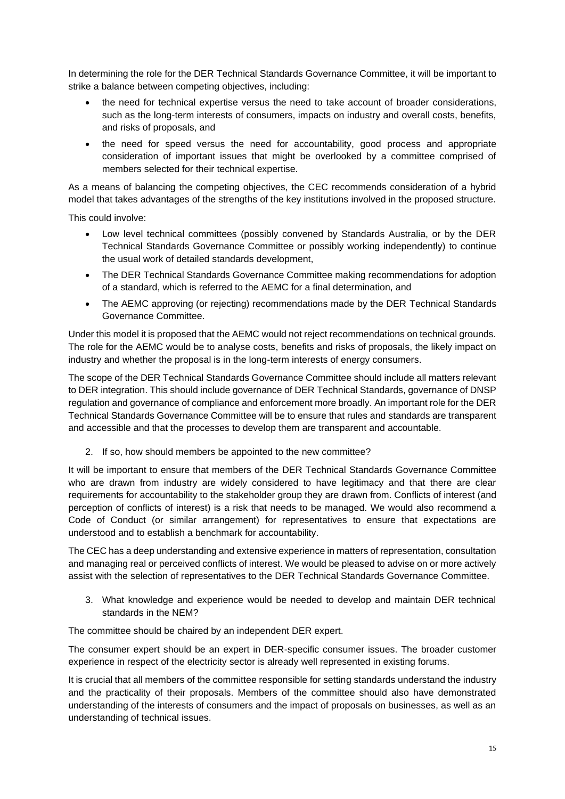In determining the role for the DER Technical Standards Governance Committee, it will be important to strike a balance between competing objectives, including:

- the need for technical expertise versus the need to take account of broader considerations, such as the long-term interests of consumers, impacts on industry and overall costs, benefits, and risks of proposals, and
- the need for speed versus the need for accountability, good process and appropriate consideration of important issues that might be overlooked by a committee comprised of members selected for their technical expertise.

As a means of balancing the competing objectives, the CEC recommends consideration of a hybrid model that takes advantages of the strengths of the key institutions involved in the proposed structure.

This could involve:

- Low level technical committees (possibly convened by Standards Australia, or by the DER Technical Standards Governance Committee or possibly working independently) to continue the usual work of detailed standards development,
- The DER Technical Standards Governance Committee making recommendations for adoption of a standard, which is referred to the AEMC for a final determination, and
- The AEMC approving (or rejecting) recommendations made by the DER Technical Standards Governance Committee.

Under this model it is proposed that the AEMC would not reject recommendations on technical grounds. The role for the AEMC would be to analyse costs, benefits and risks of proposals, the likely impact on industry and whether the proposal is in the long-term interests of energy consumers.

The scope of the DER Technical Standards Governance Committee should include all matters relevant to DER integration. This should include governance of DER Technical Standards, governance of DNSP regulation and governance of compliance and enforcement more broadly. An important role for the DER Technical Standards Governance Committee will be to ensure that rules and standards are transparent and accessible and that the processes to develop them are transparent and accountable.

2. If so, how should members be appointed to the new committee?

It will be important to ensure that members of the DER Technical Standards Governance Committee who are drawn from industry are widely considered to have legitimacy and that there are clear requirements for accountability to the stakeholder group they are drawn from. Conflicts of interest (and perception of conflicts of interest) is a risk that needs to be managed. We would also recommend a Code of Conduct (or similar arrangement) for representatives to ensure that expectations are understood and to establish a benchmark for accountability.

The CEC has a deep understanding and extensive experience in matters of representation, consultation and managing real or perceived conflicts of interest. We would be pleased to advise on or more actively assist with the selection of representatives to the DER Technical Standards Governance Committee.

3. What knowledge and experience would be needed to develop and maintain DER technical standards in the NEM?

The committee should be chaired by an independent DER expert.

The consumer expert should be an expert in DER-specific consumer issues. The broader customer experience in respect of the electricity sector is already well represented in existing forums.

It is crucial that all members of the committee responsible for setting standards understand the industry and the practicality of their proposals. Members of the committee should also have demonstrated understanding of the interests of consumers and the impact of proposals on businesses, as well as an understanding of technical issues.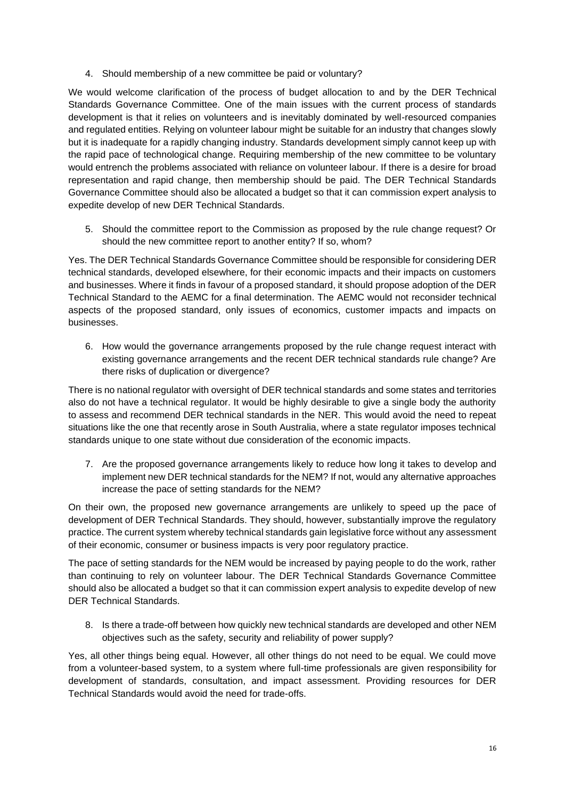4. Should membership of a new committee be paid or voluntary?

We would welcome clarification of the process of budget allocation to and by the DER Technical Standards Governance Committee. One of the main issues with the current process of standards development is that it relies on volunteers and is inevitably dominated by well-resourced companies and regulated entities. Relying on volunteer labour might be suitable for an industry that changes slowly but it is inadequate for a rapidly changing industry. Standards development simply cannot keep up with the rapid pace of technological change. Requiring membership of the new committee to be voluntary would entrench the problems associated with reliance on volunteer labour. If there is a desire for broad representation and rapid change, then membership should be paid. The DER Technical Standards Governance Committee should also be allocated a budget so that it can commission expert analysis to expedite develop of new DER Technical Standards.

5. Should the committee report to the Commission as proposed by the rule change request? Or should the new committee report to another entity? If so, whom?

Yes. The DER Technical Standards Governance Committee should be responsible for considering DER technical standards, developed elsewhere, for their economic impacts and their impacts on customers and businesses. Where it finds in favour of a proposed standard, it should propose adoption of the DER Technical Standard to the AEMC for a final determination. The AEMC would not reconsider technical aspects of the proposed standard, only issues of economics, customer impacts and impacts on businesses.

6. How would the governance arrangements proposed by the rule change request interact with existing governance arrangements and the recent DER technical standards rule change? Are there risks of duplication or divergence?

There is no national regulator with oversight of DER technical standards and some states and territories also do not have a technical regulator. It would be highly desirable to give a single body the authority to assess and recommend DER technical standards in the NER. This would avoid the need to repeat situations like the one that recently arose in South Australia, where a state regulator imposes technical standards unique to one state without due consideration of the economic impacts.

7. Are the proposed governance arrangements likely to reduce how long it takes to develop and implement new DER technical standards for the NEM? If not, would any alternative approaches increase the pace of setting standards for the NEM?

On their own, the proposed new governance arrangements are unlikely to speed up the pace of development of DER Technical Standards. They should, however, substantially improve the regulatory practice. The current system whereby technical standards gain legislative force without any assessment of their economic, consumer or business impacts is very poor regulatory practice.

The pace of setting standards for the NEM would be increased by paying people to do the work, rather than continuing to rely on volunteer labour. The DER Technical Standards Governance Committee should also be allocated a budget so that it can commission expert analysis to expedite develop of new DER Technical Standards.

8. Is there a trade-off between how quickly new technical standards are developed and other NEM objectives such as the safety, security and reliability of power supply?

Yes, all other things being equal. However, all other things do not need to be equal. We could move from a volunteer-based system, to a system where full-time professionals are given responsibility for development of standards, consultation, and impact assessment. Providing resources for DER Technical Standards would avoid the need for trade-offs.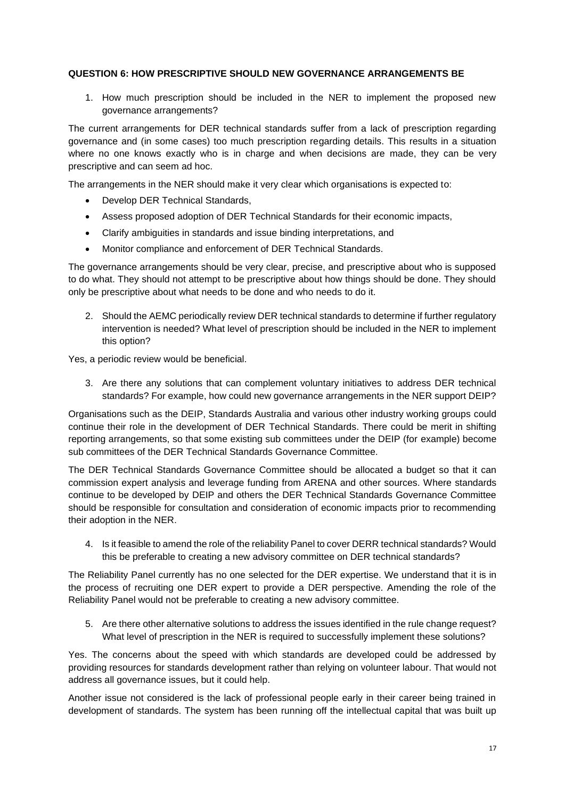#### **QUESTION 6: HOW PRESCRIPTIVE SHOULD NEW GOVERNANCE ARRANGEMENTS BE**

1. How much prescription should be included in the NER to implement the proposed new governance arrangements?

The current arrangements for DER technical standards suffer from a lack of prescription regarding governance and (in some cases) too much prescription regarding details. This results in a situation where no one knows exactly who is in charge and when decisions are made, they can be very prescriptive and can seem ad hoc.

The arrangements in the NER should make it very clear which organisations is expected to:

- Develop DER Technical Standards,
- Assess proposed adoption of DER Technical Standards for their economic impacts,
- Clarify ambiguities in standards and issue binding interpretations, and
- Monitor compliance and enforcement of DER Technical Standards.

The governance arrangements should be very clear, precise, and prescriptive about who is supposed to do what. They should not attempt to be prescriptive about how things should be done. They should only be prescriptive about what needs to be done and who needs to do it.

2. Should the AEMC periodically review DER technical standards to determine if further regulatory intervention is needed? What level of prescription should be included in the NER to implement this option?

Yes, a periodic review would be beneficial.

3. Are there any solutions that can complement voluntary initiatives to address DER technical standards? For example, how could new governance arrangements in the NER support DEIP?

Organisations such as the DEIP, Standards Australia and various other industry working groups could continue their role in the development of DER Technical Standards. There could be merit in shifting reporting arrangements, so that some existing sub committees under the DEIP (for example) become sub committees of the DER Technical Standards Governance Committee.

The DER Technical Standards Governance Committee should be allocated a budget so that it can commission expert analysis and leverage funding from ARENA and other sources. Where standards continue to be developed by DEIP and others the DER Technical Standards Governance Committee should be responsible for consultation and consideration of economic impacts prior to recommending their adoption in the NER.

4. Is it feasible to amend the role of the reliability Panel to cover DERR technical standards? Would this be preferable to creating a new advisory committee on DER technical standards?

The Reliability Panel currently has no one selected for the DER expertise. We understand that it is in the process of recruiting one DER expert to provide a DER perspective. Amending the role of the Reliability Panel would not be preferable to creating a new advisory committee.

5. Are there other alternative solutions to address the issues identified in the rule change request? What level of prescription in the NER is required to successfully implement these solutions?

Yes. The concerns about the speed with which standards are developed could be addressed by providing resources for standards development rather than relying on volunteer labour. That would not address all governance issues, but it could help.

Another issue not considered is the lack of professional people early in their career being trained in development of standards. The system has been running off the intellectual capital that was built up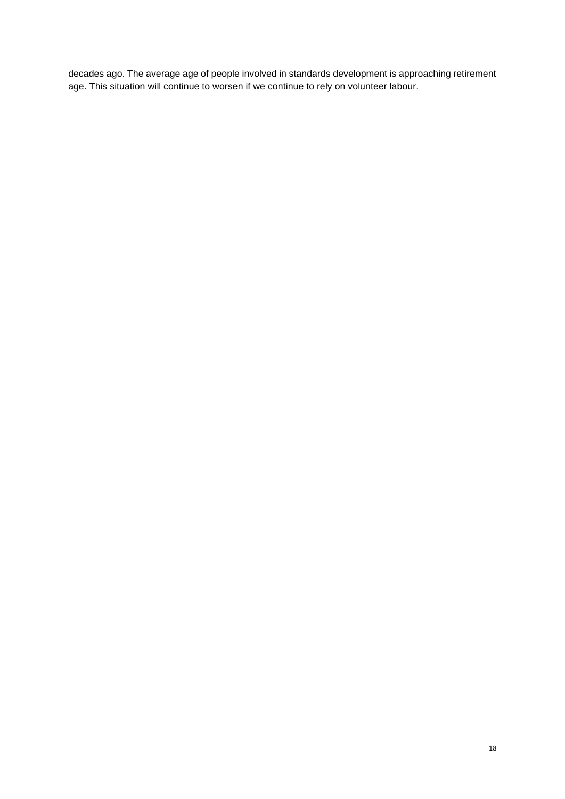decades ago. The average age of people involved in standards development is approaching retirement age. This situation will continue to worsen if we continue to rely on volunteer labour.